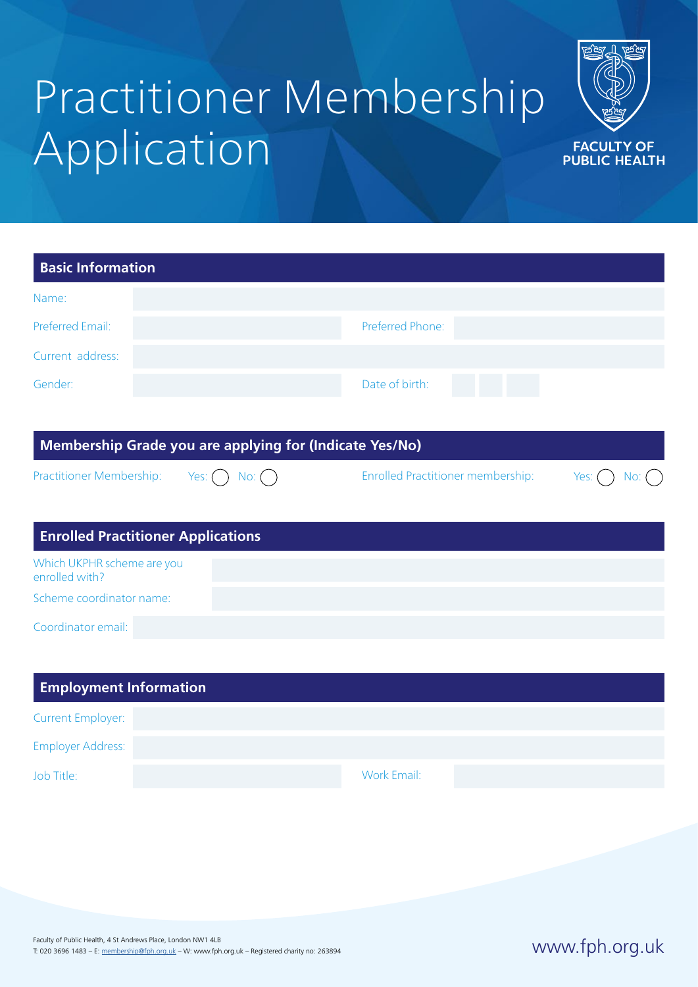# Practitioner Membership Application



| <b>Basic Information</b>                                |                                          |             |
|---------------------------------------------------------|------------------------------------------|-------------|
| Name:                                                   |                                          |             |
| <b>Preferred Email:</b>                                 | Preferred Phone:                         |             |
| Current address:                                        |                                          |             |
| Gender:                                                 | Date of birth:                           |             |
|                                                         |                                          |             |
| Membership Grade you are applying for (Indicate Yes/No) |                                          |             |
| Practitioner Membership:<br>Yes: (<br>$No:$ $($ $)$     | <b>Enrolled Practitioner membership:</b> | Yes:<br>No: |
|                                                         |                                          |             |
| <b>Enrolled Practitioner Applications</b>               |                                          |             |
| Which UKPHR scheme are you<br>enrolled with?            |                                          |             |
| Scheme coordinator name:                                |                                          |             |
| Coordinator email:                                      |                                          |             |
|                                                         |                                          |             |
| <b>Employment Information</b>                           |                                          |             |

| <b>Current Employer:</b> |             |
|--------------------------|-------------|
| <b>Employer Address:</b> |             |
| Job Title:               | Work Email: |

www.fph.org.uk Faculty of Public Health, 4 St Andrews Place, London NW1 4LB T: 020 3696 1483 – E: [membership@fph.org.uk](mailto:membership%40fph.org.uk?subject=) – W: www.fph.org.uk – Registered charity no: 263894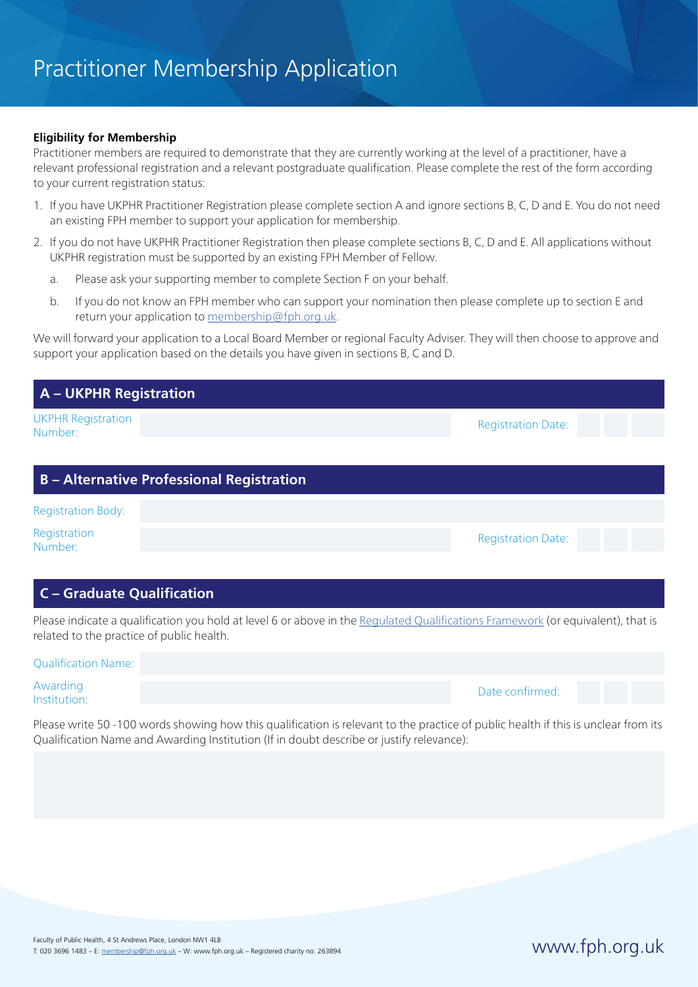### **Eligibility for Membership**

Practitioner members are required to demonstrate that they are currently working at the level of a practitioner, have a relevant professional registration and a relevant postgraduate qualification. Please complete the rest of the form according to your current registration status:

- 1. If you have UKPHR Practitioner Registration please complete section A and ignore sections B, C, D and E. You do not need an existing FPH member to support your application for membership.
- 2. If you do not have UKPHR Practitioner Registration then please complete sections B, C, D and E. All applications without UKPHR registration must be supported by an existing FPH Member of Fellow.
	- a. Please ask your supporting member to complete Section F on your behalf.
	- b. If you do not know an FPH member who can support your nomination then please complete up to section E and return your application to [membership@fph.org.uk.](mailto:membership%40fph.org.uk?subject=)

We will forward your application to a Local Board Member or regional Faculty Adviser. They will then choose to approve and support your application based on the details you have given in sections B, C and D.

| <b>A</b> – UKPHR Registration                    |                                                                                                                                 |
|--------------------------------------------------|---------------------------------------------------------------------------------------------------------------------------------|
| <b>UKPHR Registration</b><br>Number:             | <b>Registration Date:</b>                                                                                                       |
| <b>B</b> – Alternative Professional Registration |                                                                                                                                 |
| <b>Registration Body:</b>                        |                                                                                                                                 |
| Registration<br>Number:                          | <b>Registration Date:</b>                                                                                                       |
| <b>C</b> – Graduate Qualification                |                                                                                                                                 |
| related to the practice of public health.        | Please indicate a qualification you hold at level 6 or above in the Regulated Qualifications Framework (or equivalent), that is |

| state that the control of the control of the state of the control of the control of the control of the control of the control of the control of the control of the control of the control of the control of the control of the |                 |  |
|--------------------------------------------------------------------------------------------------------------------------------------------------------------------------------------------------------------------------------|-----------------|--|
| <b>Qualification Name:</b>                                                                                                                                                                                                     |                 |  |
| Awarding<br>lnstitution:                                                                                                                                                                                                       | Date confirmed: |  |

Please write 50 -100 words showing how this qualification is relevant to the practice of public health if this is unclear from its Qualification Name and Awarding Institution (If in doubt describe or justify relevance):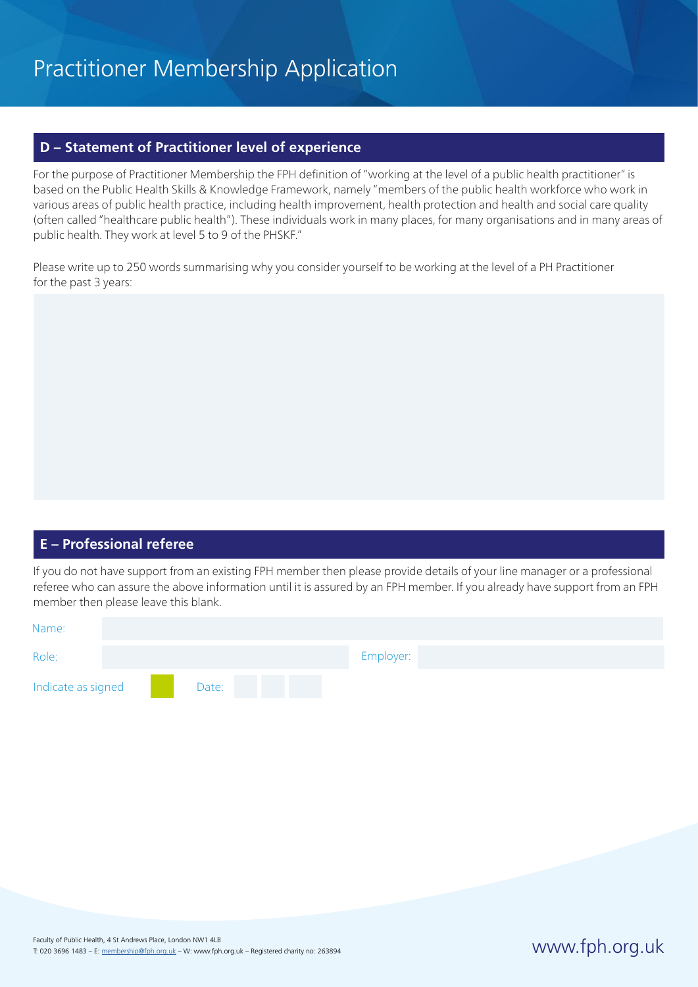### **D – Statement of Practitioner level of experience**

For the purpose of Practitioner Membership the FPH definition of "working at the level of a public health practitioner" is based on the Public Health Skills & Knowledge Framework, namely "members of the public health workforce who work in various areas of public health practice, including health improvement, health protection and health and social care quality (often called "healthcare public health"). These individuals work in many places, for many organisations and in many areas of public health. They work at level 5 to 9 of the PHSKF."

Please write up to 250 words summarising why you consider yourself to be working at the level of a PH Practitioner for the past 3 years:

### **E – Professional referee**

If you do not have support from an existing FPH member then please provide details of your line manager or a professional referee who can assure the above information until it is assured by an FPH member. If you already have support from an FPH member then please leave this blank.

| Name:              |       |  |           |  |
|--------------------|-------|--|-----------|--|
| Role:              |       |  | Employer: |  |
| Indicate as signed | Date: |  |           |  |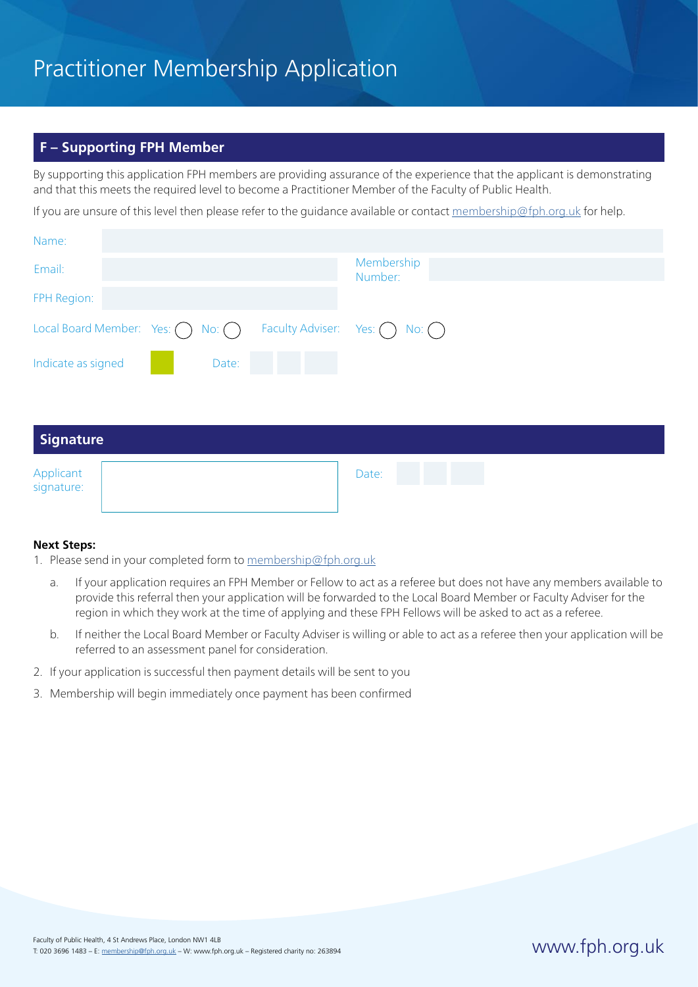## Practitioner Membership Application

### **F – Supporting FPH Member**

By supporting this application FPH members are providing assurance of the experience that the applicant is demonstrating and that this meets the required level to become a Practitioner Member of the Faculty of Public Health.

If you are unsure of this level then please refer to the guidance available or contact [membership@fph.org.uk](mailto:membership%40fph.org.uk?subject=) for help.

| Name:                                            |                                               |
|--------------------------------------------------|-----------------------------------------------|
| Email:                                           | Membership<br>Number:                         |
| FPH Region:                                      |                                               |
| Local Board Member: Yes: $\bigcap$ No: $\bigcap$ | Faculty Adviser: Yes: $\bigcap$ No: $\bigcap$ |
| Indicate as signed<br>Date:                      |                                               |
|                                                  |                                               |
| <b>Signature</b>                                 |                                               |

| Applicant<br>signature: | Date: |  |  |
|-------------------------|-------|--|--|
|                         |       |  |  |

### **Next Steps:**

- 1. Please send in your completed form to [membership@fph.org.uk](mailto:membership%40fph.org.uk?subject=)
	- a. If your application requires an FPH Member or Fellow to act as a referee but does not have any members available to provide this referral then your application will be forwarded to the Local Board Member or Faculty Adviser for the region in which they work at the time of applying and these FPH Fellows will be asked to act as a referee.
	- b. If neither the Local Board Member or Faculty Adviser is willing or able to act as a referee then your application will be referred to an assessment panel for consideration.
- 2. If your application is successful then payment details will be sent to you
- 3. Membership will begin immediately once payment has been confirmed